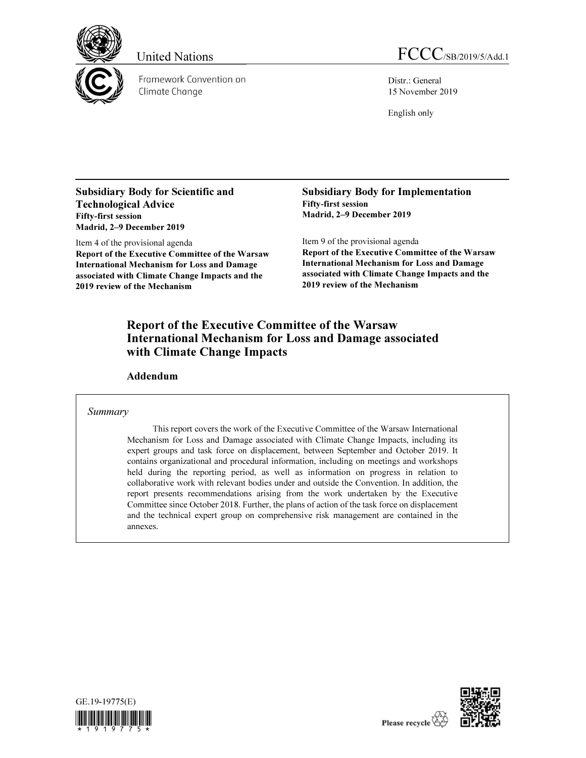

Framework Convention on Climate Change



Distr.: General 15 November 2019

English only

Subsidiary Body for Scientific and Technological Advice Fifty-first session Madrid, 2–9 December 2019

Item 4 of the provisional agenda Report of the Executive Committee of the Warsaw International Mechanism for Loss and Damage associated with Climate Change Impacts and the 2019 review of the Mechanism

Subsidiary Body for Implementation Fifty-first session Madrid, 2–9 December 2019

Item 9 of the provisional agenda

Report of the Executive Committee of the Warsaw International Mechanism for Loss and Damage associated with Climate Change Impacts and the 2019 review of the Mechanism

### Report of the Executive Committee of the Warsaw International Mechanism for Loss and Damage associated with Climate Change Impacts

Addendum

#### Summary

This report covers the work of the Executive Committee of the Warsaw International Mechanism for Loss and Damage associated with Climate Change Impacts, including its expert groups and task force on displacement, between September and October 2019. It contains organizational and procedural information, including on meetings and workshops held during the reporting period, as well as information on progress in relation to collaborative work with relevant bodies under and outside the Convention. In addition, the report presents recommendations arising from the work undertaken by the Executive Committee since October 2018. Further, the plans of action of the task force on displacement and the technical expert group on comprehensive risk management are contained in the annexes.



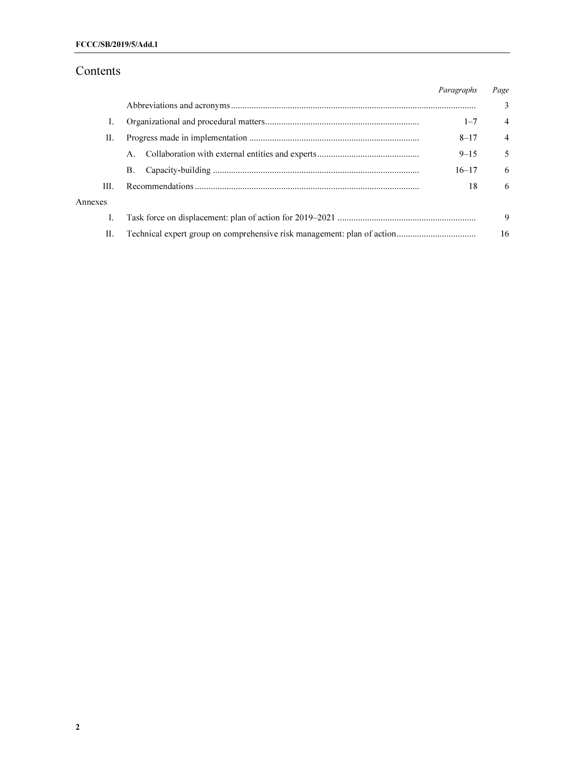## Contents

|         |    | Paragraphs | Page           |
|---------|----|------------|----------------|
|         |    |            | $\mathcal{E}$  |
| Ι.      |    | $1 - 7$    | $\overline{4}$ |
| П.      |    | $8 - 17$   | $\overline{4}$ |
|         | А. | $9 - 15$   | 5              |
|         | В. | $16 - 17$  | -6             |
| Ш.      |    | 18         | 6              |
| Annexes |    |            |                |
| Ι.      |    |            | 9              |
| Н.      |    |            | 16             |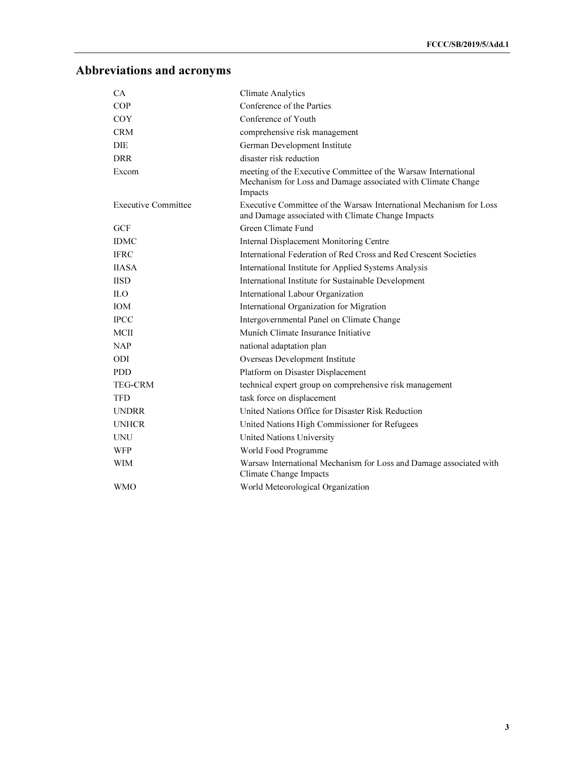# Abbreviations and acronyms

| CA                         | <b>Climate Analytics</b>                                                                                                                  |
|----------------------------|-------------------------------------------------------------------------------------------------------------------------------------------|
| COP                        | Conference of the Parties                                                                                                                 |
| <b>COY</b>                 | Conference of Youth                                                                                                                       |
| <b>CRM</b>                 | comprehensive risk management                                                                                                             |
| <b>DIE</b>                 | German Development Institute                                                                                                              |
| <b>DRR</b>                 | disaster risk reduction                                                                                                                   |
| Excom                      | meeting of the Executive Committee of the Warsaw International<br>Mechanism for Loss and Damage associated with Climate Change<br>Impacts |
| <b>Executive Committee</b> | Executive Committee of the Warsaw International Mechanism for Loss<br>and Damage associated with Climate Change Impacts                   |
| <b>GCF</b>                 | Green Climate Fund                                                                                                                        |
| <b>IDMC</b>                | Internal Displacement Monitoring Centre                                                                                                   |
| <b>IFRC</b>                | International Federation of Red Cross and Red Crescent Societies                                                                          |
| <b>IIASA</b>               | International Institute for Applied Systems Analysis                                                                                      |
| <b>IISD</b>                | International Institute for Sustainable Development                                                                                       |
| <b>ILO</b>                 | International Labour Organization                                                                                                         |
| <b>IOM</b>                 | International Organization for Migration                                                                                                  |
| <b>IPCC</b>                | Intergovernmental Panel on Climate Change                                                                                                 |
| <b>MCII</b>                | Munich Climate Insurance Initiative                                                                                                       |
| <b>NAP</b>                 | national adaptation plan                                                                                                                  |
| <b>ODI</b>                 | Overseas Development Institute                                                                                                            |
| <b>PDD</b>                 | Platform on Disaster Displacement                                                                                                         |
| <b>TEG-CRM</b>             | technical expert group on comprehensive risk management                                                                                   |
| <b>TFD</b>                 | task force on displacement                                                                                                                |
| <b>UNDRR</b>               | United Nations Office for Disaster Risk Reduction                                                                                         |
| <b>UNHCR</b>               | United Nations High Commissioner for Refugees                                                                                             |
| <b>UNU</b>                 | <b>United Nations University</b>                                                                                                          |
| <b>WFP</b>                 | World Food Programme                                                                                                                      |
| <b>WIM</b>                 | Warsaw International Mechanism for Loss and Damage associated with<br>Climate Change Impacts                                              |
| <b>WMO</b>                 | World Meteorological Organization                                                                                                         |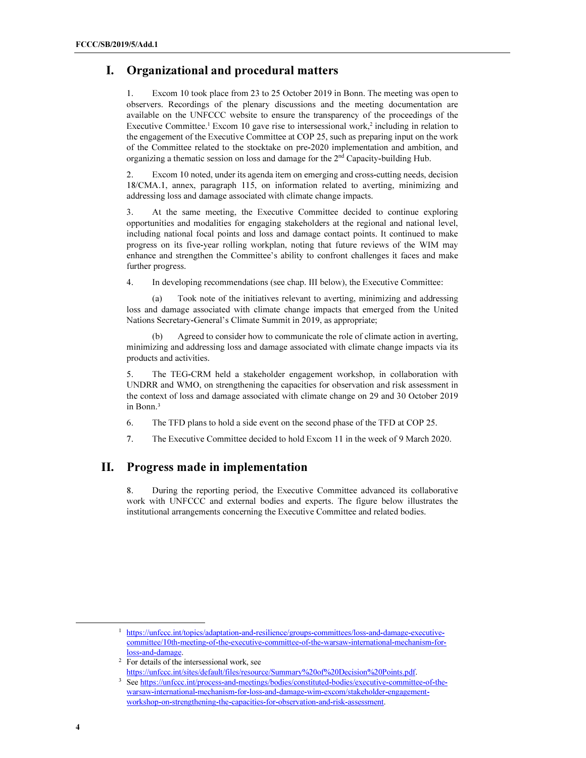### I. Organizational and procedural matters

1. Excom 10 took place from 23 to 25 October 2019 in Bonn. The meeting was open to observers. Recordings of the plenary discussions and the meeting documentation are available on the UNFCCC website to ensure the transparency of the proceedings of the Executive Committee.<sup>1</sup> Excom 10 gave rise to intersessional work,<sup>2</sup> including in relation to the engagement of the Executive Committee at COP 25, such as preparing input on the work of the Committee related to the stocktake on pre-2020 implementation and ambition, and organizing a thematic session on loss and damage for the 2nd Capacity-building Hub.

2. Excom 10 noted, under its agenda item on emerging and cross-cutting needs, decision 18/CMA.1, annex, paragraph 115, on information related to averting, minimizing and addressing loss and damage associated with climate change impacts.

3. At the same meeting, the Executive Committee decided to continue exploring opportunities and modalities for engaging stakeholders at the regional and national level, including national focal points and loss and damage contact points. It continued to make progress on its five-year rolling workplan, noting that future reviews of the WIM may enhance and strengthen the Committee's ability to confront challenges it faces and make further progress.

4. In developing recommendations (see chap. III below), the Executive Committee:

(a) Took note of the initiatives relevant to averting, minimizing and addressing loss and damage associated with climate change impacts that emerged from the United Nations Secretary-General's Climate Summit in 2019, as appropriate;

Agreed to consider how to communicate the role of climate action in averting, minimizing and addressing loss and damage associated with climate change impacts via its products and activities.

5. The TEG-CRM held a stakeholder engagement workshop, in collaboration with UNDRR and WMO, on strengthening the capacities for observation and risk assessment in the context of loss and damage associated with climate change on 29 and 30 October 2019 in Bonn.<sup>3</sup>

6. The TFD plans to hold a side event on the second phase of the TFD at COP 25.

7. The Executive Committee decided to hold Excom 11 in the week of 9 March 2020.

### II. Progress made in implementation

8. During the reporting period, the Executive Committee advanced its collaborative work with UNFCCC and external bodies and experts. The figure below illustrates the institutional arrangements concerning the Executive Committee and related bodies.

 $\overline{a}$ 

<sup>&</sup>lt;sup>1</sup> https://unfccc.int/topics/adaptation-and-resilience/groups-committees/loss-and-damage-executivecommittee/10th-meeting-of-the-executive-committee-of-the-warsaw-international-mechanism-forloss-and-damage.

<sup>2</sup> For details of the intersessional work, see

https://unfccc.int/sites/default/files/resource/Summary%20of%20Decision%20Points.pdf.

<sup>&</sup>lt;sup>3</sup> See https://unfccc.int/process-and-meetings/bodies/constituted-bodies/executive-committee-of-thewarsaw-international-mechanism-for-loss-and-damage-wim-excom/stakeholder-engagementworkshop-on-strengthening-the-capacities-for-observation-and-risk-assessment.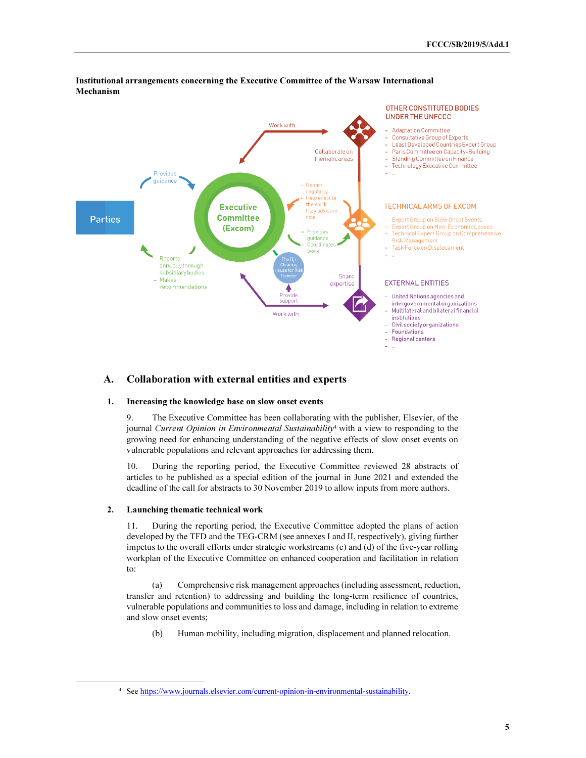

#### Institutional arrangements concerning the Executive Committee of the Warsaw International Mechanism

#### A. Collaboration with external entities and experts

#### 1. Increasing the knowledge base on slow onset events

9. The Executive Committee has been collaborating with the publisher, Elsevier, of the journal Current Opinion in Environmental Sustainability<sup>4</sup> with a view to responding to the growing need for enhancing understanding of the negative effects of slow onset events on vulnerable populations and relevant approaches for addressing them.

10. During the reporting period, the Executive Committee reviewed 28 abstracts of articles to be published as a special edition of the journal in June 2021 and extended the deadline of the call for abstracts to 30 November 2019 to allow inputs from more authors.

#### 2. Launching thematic technical work

 $\overline{a}$ 

11. During the reporting period, the Executive Committee adopted the plans of action developed by the TFD and the TEG-CRM (see annexes I and II, respectively), giving further impetus to the overall efforts under strategic workstreams (c) and (d) of the five-year rolling workplan of the Executive Committee on enhanced cooperation and facilitation in relation to:

(a) Comprehensive risk management approaches (including assessment, reduction, transfer and retention) to addressing and building the long-term resilience of countries, vulnerable populations and communities to loss and damage, including in relation to extreme and slow onset events;

(b) Human mobility, including migration, displacement and planned relocation.

<sup>4</sup> See https://www.journals.elsevier.com/current-opinion-in-environmental-sustainability.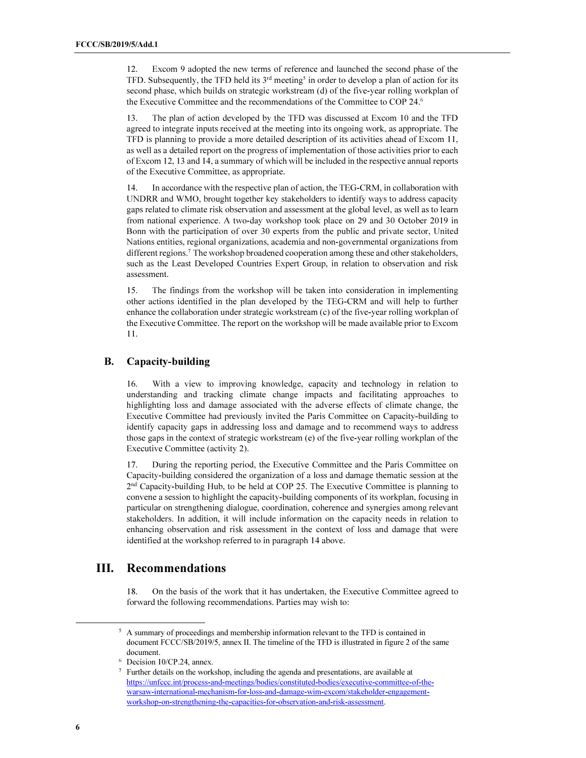12. Excom 9 adopted the new terms of reference and launched the second phase of the TFD. Subsequently, the TFD held its 3<sup>rd</sup> meeting<sup>5</sup> in order to develop a plan of action for its second phase, which builds on strategic workstream (d) of the five-year rolling workplan of the Executive Committee and the recommendations of the Committee to COP 24.<sup>6</sup>

13. The plan of action developed by the TFD was discussed at Excom 10 and the TFD agreed to integrate inputs received at the meeting into its ongoing work, as appropriate. The TFD is planning to provide a more detailed description of its activities ahead of Excom 11, as well as a detailed report on the progress of implementation of those activities prior to each of Excom 12, 13 and 14, a summary of which will be included in the respective annual reports of the Executive Committee, as appropriate.

14. In accordance with the respective plan of action, the TEG-CRM, in collaboration with UNDRR and WMO, brought together key stakeholders to identify ways to address capacity gaps related to climate risk observation and assessment at the global level, as well as to learn from national experience. A two-day workshop took place on 29 and 30 October 2019 in Bonn with the participation of over 30 experts from the public and private sector, United Nations entities, regional organizations, academia and non-governmental organizations from different regions.<sup>7</sup> The workshop broadened cooperation among these and other stakeholders, such as the Least Developed Countries Expert Group, in relation to observation and risk assessment.

15. The findings from the workshop will be taken into consideration in implementing other actions identified in the plan developed by the TEG-CRM and will help to further enhance the collaboration under strategic workstream (c) of the five-year rolling workplan of the Executive Committee. The report on the workshop will be made available prior to Excom 11.

#### B. Capacity-building

16. With a view to improving knowledge, capacity and technology in relation to understanding and tracking climate change impacts and facilitating approaches to highlighting loss and damage associated with the adverse effects of climate change, the Executive Committee had previously invited the Paris Committee on Capacity-building to identify capacity gaps in addressing loss and damage and to recommend ways to address those gaps in the context of strategic workstream (e) of the five-year rolling workplan of the Executive Committee (activity 2).

17. During the reporting period, the Executive Committee and the Paris Committee on Capacity-building considered the organization of a loss and damage thematic session at the 2<sup>nd</sup> Capacity-building Hub, to be held at COP 25. The Executive Committee is planning to convene a session to highlight the capacity-building components of its workplan, focusing in particular on strengthening dialogue, coordination, coherence and synergies among relevant stakeholders. In addition, it will include information on the capacity needs in relation to enhancing observation and risk assessment in the context of loss and damage that were identified at the workshop referred to in paragraph 14 above.

### III. Recommendations

18. On the basis of the work that it has undertaken, the Executive Committee agreed to forward the following recommendations. Parties may wish to:

 $\overline{a}$ 

<sup>&</sup>lt;sup>5</sup> A summary of proceedings and membership information relevant to the TFD is contained in document FCCC/SB/2019/5, annex II. The timeline of the TFD is illustrated in figure 2 of the same document.

<sup>6</sup> Decision 10/CP.24, annex.

<sup>&</sup>lt;sup>7</sup> Further details on the workshop, including the agenda and presentations, are available at https://unfccc.int/process-and-meetings/bodies/constituted-bodies/executive-committee-of-thewarsaw-international-mechanism-for-loss-and-damage-wim-excom/stakeholder-engagementworkshop-on-strengthening-the-capacities-for-observation-and-risk-assessment.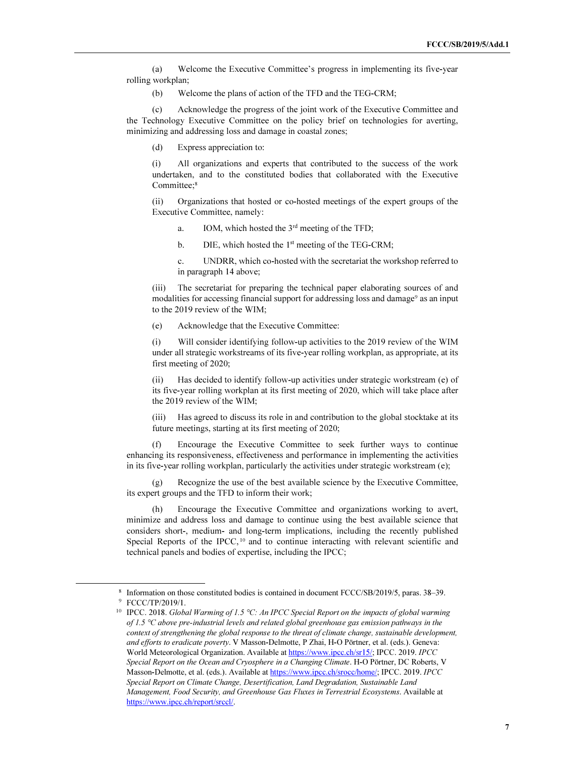(a) Welcome the Executive Committee's progress in implementing its five-year rolling workplan;

(b) Welcome the plans of action of the TFD and the TEG-CRM;

(c) Acknowledge the progress of the joint work of the Executive Committee and the Technology Executive Committee on the policy brief on technologies for averting, minimizing and addressing loss and damage in coastal zones;

(d) Express appreciation to:

(i) All organizations and experts that contributed to the success of the work undertaken, and to the constituted bodies that collaborated with the Executive Committee:<sup>8</sup>

(ii) Organizations that hosted or co-hosted meetings of the expert groups of the Executive Committee, namely:

- a. IOM, which hosted the  $3<sup>rd</sup>$  meeting of the TFD;
- b. DIE, which hosted the 1<sup>st</sup> meeting of the TEG-CRM;
- c. UNDRR, which co-hosted with the secretariat the workshop referred to in paragraph 14 above;

(iii) The secretariat for preparing the technical paper elaborating sources of and modalities for accessing financial support for addressing loss and damage<sup>9</sup> as an input to the 2019 review of the WIM;

(e) Acknowledge that the Executive Committee:

(i) Will consider identifying follow-up activities to the 2019 review of the WIM under all strategic workstreams of its five-year rolling workplan, as appropriate, at its first meeting of 2020;

(ii) Has decided to identify follow-up activities under strategic workstream (e) of its five-year rolling workplan at its first meeting of 2020, which will take place after the 2019 review of the WIM;

(iii) Has agreed to discuss its role in and contribution to the global stocktake at its future meetings, starting at its first meeting of 2020;

Encourage the Executive Committee to seek further ways to continue enhancing its responsiveness, effectiveness and performance in implementing the activities in its five-year rolling workplan, particularly the activities under strategic workstream (e);

Recognize the use of the best available science by the Executive Committee, its expert groups and the TFD to inform their work;

(h) Encourage the Executive Committee and organizations working to avert, minimize and address loss and damage to continue using the best available science that considers short-, medium- and long-term implications, including the recently published Special Reports of the IPCC,<sup>10</sup> and to continue interacting with relevant scientific and technical panels and bodies of expertise, including the IPCC;

j

<sup>8</sup> Information on those constituted bodies is contained in document FCCC/SB/2019/5, paras. 38–39. 9 FCCC/TP/2019/1.

<sup>&</sup>lt;sup>10</sup> IPCC. 2018. Global Warming of 1.5 °C: An IPCC Special Report on the impacts of global warming of 1.5 °C above pre-industrial levels and related global greenhouse gas emission pathways in the context of strengthening the global response to the threat of climate change, sustainable development, and efforts to eradicate poverty. V Masson-Delmotte, P Zhai, H-O Pörtner, et al. (eds.). Geneva: World Meteorological Organization. Available at https://www.ipcc.ch/sr15/; IPCC. 2019. IPCC Special Report on the Ocean and Cryosphere in a Changing Climate. H-O Pörtner, DC Roberts, V Masson-Delmotte, et al. (eds.). Available at https://www.ipcc.ch/srocc/home/; IPCC. 2019. IPCC Special Report on Climate Change, Desertification, Land Degradation, Sustainable Land Management, Food Security, and Greenhouse Gas Fluxes in Terrestrial Ecosystems. Available at https://www.ipcc.ch/report/srccl/.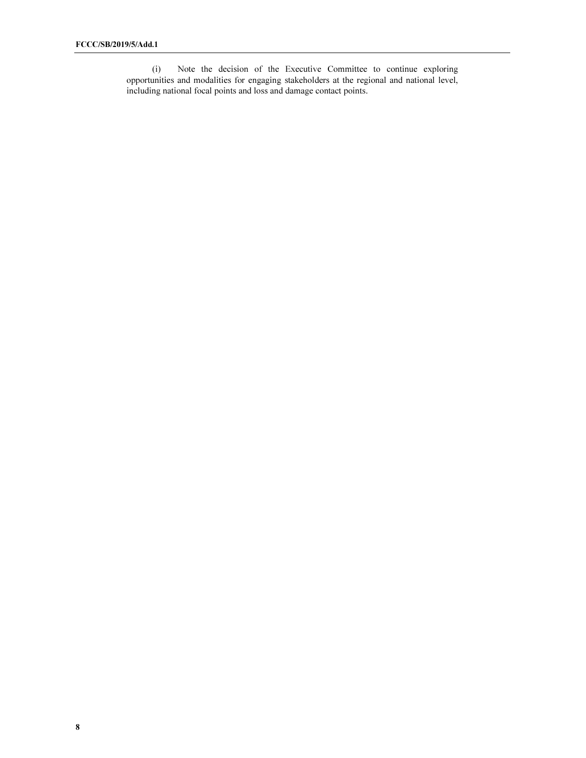(i) Note the decision of the Executive Committee to continue exploring opportunities and modalities for engaging stakeholders at the regional and national level, including national focal points and loss and damage contact points.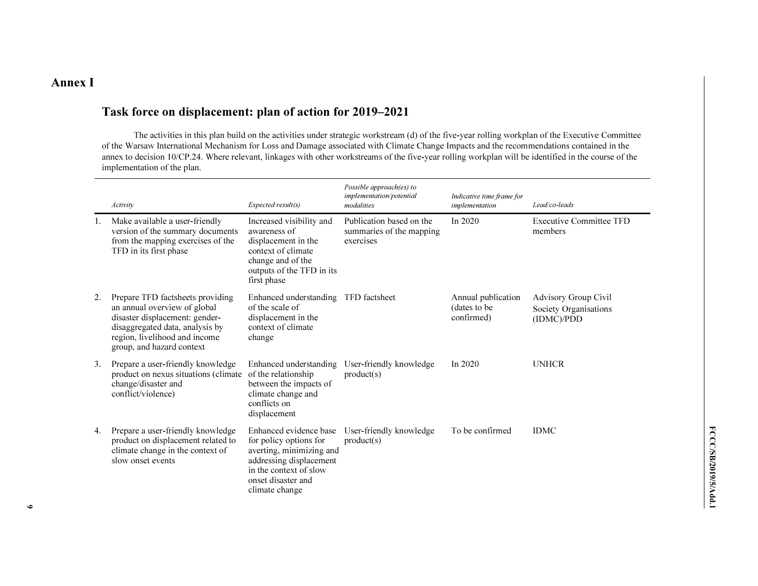### Annex I

### Task force on displacement: plan of action for 2019–2021

The activities in this plan build on the activities under strategic workstream (d) of the five-year rolling workplan of the Executive Committee of the Warsaw International Mechanism for Loss and Damage associated with Climate Change Impacts and the recommendations contained in the annex to decision 10/CP.24. Where relevant, linkages with other workstreams of the five-year rolling workplan will be identified in the course of the implementation of the plan.

|    | Activity                                                                                                                                                                                            | Expected result(s)                                                                                                                                                        | Possible approach(es) to<br>implementation/potential<br>modalities | Indicative time frame for<br>implementation       | Lead/co-leads                                                      |
|----|-----------------------------------------------------------------------------------------------------------------------------------------------------------------------------------------------------|---------------------------------------------------------------------------------------------------------------------------------------------------------------------------|--------------------------------------------------------------------|---------------------------------------------------|--------------------------------------------------------------------|
|    | Make available a user-friendly<br>version of the summary documents<br>from the mapping exercises of the<br>TFD in its first phase                                                                   | Increased visibility and<br>awareness of<br>displacement in the<br>context of climate<br>change and of the<br>outputs of the TFD in its<br>first phase                    | Publication based on the<br>summaries of the mapping<br>exercises  | In $2020$                                         | <b>Executive Committee TFD</b><br>members                          |
| 2. | Prepare TFD factsheets providing<br>an annual overview of global<br>disaster displacement: gender-<br>disaggregated data, analysis by<br>region, livelihood and income<br>group, and hazard context | Enhanced understanding TFD factsheet<br>of the scale of<br>displacement in the<br>context of climate<br>change                                                            |                                                                    | Annual publication<br>(dates to be)<br>confirmed) | <b>Advisory Group Civil</b><br>Society Organisations<br>(IDMC)/PDD |
| 3. | Prepare a user-friendly knowledge<br>product on nexus situations (climate)<br>change/disaster and<br>conflict/violence)                                                                             | Enhanced understanding<br>of the relationship<br>between the impacts of<br>climate change and<br>conflicts on<br>displacement                                             | User-friendly knowledge<br>product(s)                              | In 2020                                           | <b>UNHCR</b>                                                       |
| 4. | Prepare a user-friendly knowledge<br>product on displacement related to<br>climate change in the context of<br>slow onset events                                                                    | Enhanced evidence base<br>for policy options for<br>averting, minimizing and<br>addressing displacement<br>in the context of slow<br>onset disaster and<br>climate change | User-friendly knowledge<br>product(s)                              | To be confirmed                                   | <b>IDMC</b>                                                        |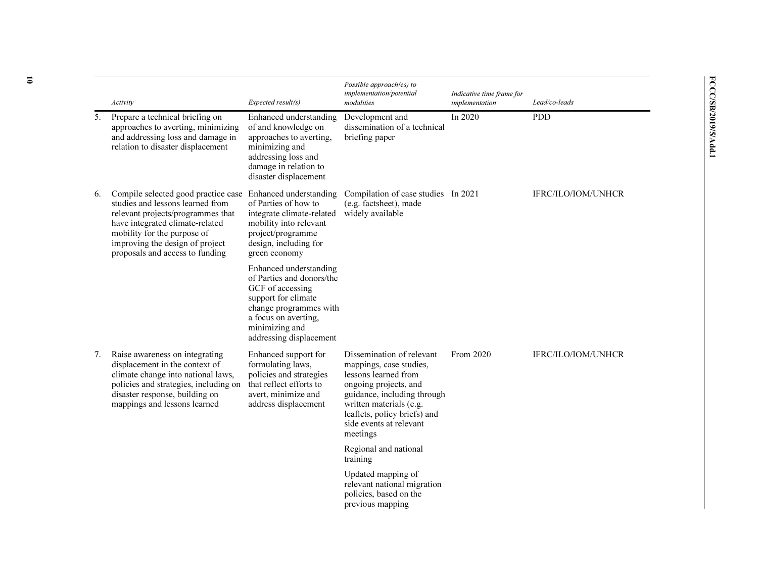|    | Activity                                                                                                                                                                                                                                             | Expected result(s)                                                                                                                                                                            | Possible approach(es) to<br>implementation/potential<br>modalities                                                                                                                                                                     | Indicative time frame for<br>implementation | Lead/co-leads             |
|----|------------------------------------------------------------------------------------------------------------------------------------------------------------------------------------------------------------------------------------------------------|-----------------------------------------------------------------------------------------------------------------------------------------------------------------------------------------------|----------------------------------------------------------------------------------------------------------------------------------------------------------------------------------------------------------------------------------------|---------------------------------------------|---------------------------|
| 5. | Prepare a technical briefing on<br>approaches to averting, minimizing<br>and addressing loss and damage in<br>relation to disaster displacement                                                                                                      | Enhanced understanding<br>of and knowledge on<br>approaches to averting,<br>minimizing and<br>addressing loss and<br>damage in relation to<br>disaster displacement                           | Development and<br>dissemination of a technical<br>briefing paper                                                                                                                                                                      | In 2020                                     | <b>PDD</b>                |
| 6. | Compile selected good practice case<br>studies and lessons learned from<br>relevant projects/programmes that<br>have integrated climate-related<br>mobility for the purpose of<br>improving the design of project<br>proposals and access to funding | Enhanced understanding<br>of Parties of how to<br>integrate climate-related<br>mobility into relevant<br>project/programme<br>design, including for<br>green economy                          | Compilation of case studies In 2021<br>(e.g. factsheet), made<br>widely available                                                                                                                                                      |                                             | <b>IFRC/ILO/IOM/UNHCR</b> |
|    |                                                                                                                                                                                                                                                      | Enhanced understanding<br>of Parties and donors/the<br>GCF of accessing<br>support for climate<br>change programmes with<br>a focus on averting,<br>minimizing and<br>addressing displacement |                                                                                                                                                                                                                                        |                                             |                           |
| 7. | Raise awareness on integrating<br>displacement in the context of<br>climate change into national laws,<br>policies and strategies, including on<br>disaster response, building on<br>mappings and lessons learned                                    | Enhanced support for<br>formulating laws,<br>policies and strategies<br>that reflect efforts to<br>avert, minimize and<br>address displacement                                                | Dissemination of relevant<br>mappings, case studies,<br>lessons learned from<br>ongoing projects, and<br>guidance, including through<br>written materials (e.g.<br>leaflets, policy briefs) and<br>side events at relevant<br>meetings | From 2020                                   | <b>IFRC/ILO/IOM/UNHCR</b> |
|    |                                                                                                                                                                                                                                                      |                                                                                                                                                                                               | Regional and national<br>training                                                                                                                                                                                                      |                                             |                           |
|    |                                                                                                                                                                                                                                                      |                                                                                                                                                                                               | Updated mapping of<br>relevant national migration<br>policies, based on the<br>previous mapping                                                                                                                                        |                                             |                           |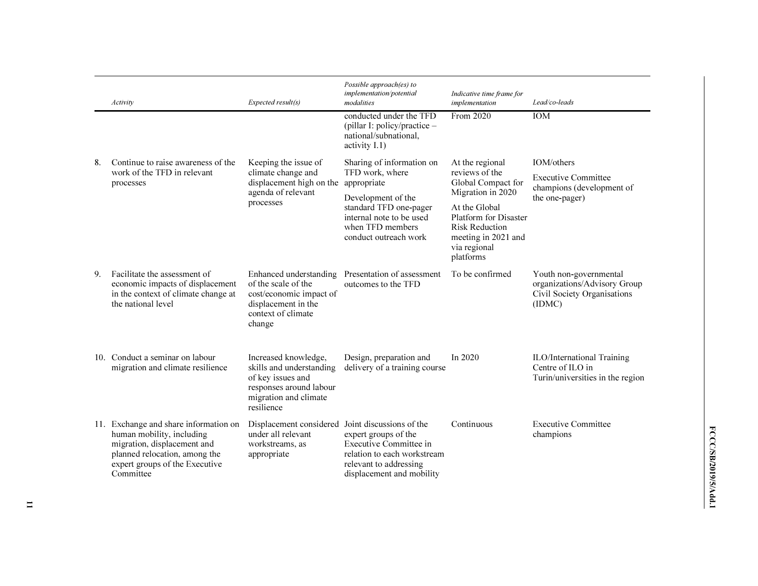|    | Activity                                                                                                                                                                          | Expected result(s)                                                                                                                      | Possible approach(es) to<br>implementation/potential<br>modalities                                                                                                                   | Indicative time frame for<br>implementation                                                                                                                                                                | Lead/co-leads                                                                                   |
|----|-----------------------------------------------------------------------------------------------------------------------------------------------------------------------------------|-----------------------------------------------------------------------------------------------------------------------------------------|--------------------------------------------------------------------------------------------------------------------------------------------------------------------------------------|------------------------------------------------------------------------------------------------------------------------------------------------------------------------------------------------------------|-------------------------------------------------------------------------------------------------|
|    |                                                                                                                                                                                   |                                                                                                                                         | conducted under the TFD<br>(pillar I: policy/practice -<br>national/subnational,<br>activity I.1)                                                                                    | From 2020                                                                                                                                                                                                  | <b>IOM</b>                                                                                      |
| 8. | Continue to raise awareness of the<br>work of the TFD in relevant<br>processes                                                                                                    | Keeping the issue of<br>climate change and<br>displacement high on the<br>agenda of relevant<br>processes                               | Sharing of information on<br>TFD work, where<br>appropriate<br>Development of the<br>standard TFD one-pager<br>internal note to be used<br>when TFD members<br>conduct outreach work | At the regional<br>reviews of the<br>Global Compact for<br>Migration in 2020<br>At the Global<br><b>Platform for Disaster</b><br><b>Risk Reduction</b><br>meeting in 2021 and<br>via regional<br>platforms | IOM/others<br><b>Executive Committee</b><br>champions (development of<br>the one-pager)         |
| 9. | Facilitate the assessment of<br>economic impacts of displacement<br>in the context of climate change at<br>the national level                                                     | of the scale of the<br>cost/economic impact of<br>displacement in the<br>context of climate<br>change                                   | Enhanced understanding Presentation of assessment<br>outcomes to the TFD                                                                                                             | To be confirmed                                                                                                                                                                                            | Youth non-governmental<br>organizations/Advisory Group<br>Civil Society Organisations<br>(IDMC) |
|    | 10. Conduct a seminar on labour<br>migration and climate resilience                                                                                                               | Increased knowledge,<br>skills and understanding<br>of key issues and<br>responses around labour<br>migration and climate<br>resilience | Design, preparation and<br>delivery of a training course                                                                                                                             | In 2020                                                                                                                                                                                                    | ILO/International Training<br>Centre of ILO in<br>Turin/universities in the region              |
|    | 11. Exchange and share information on<br>human mobility, including<br>migration, displacement and<br>planned relocation, among the<br>expert groups of the Executive<br>Committee | Displacement considered Joint discussions of the<br>under all relevant<br>workstreams, as<br>appropriate                                | expert groups of the<br>Executive Committee in<br>relation to each workstream<br>relevant to addressing<br>displacement and mobility                                                 | Continuous                                                                                                                                                                                                 | <b>Executive Committee</b><br>champions                                                         |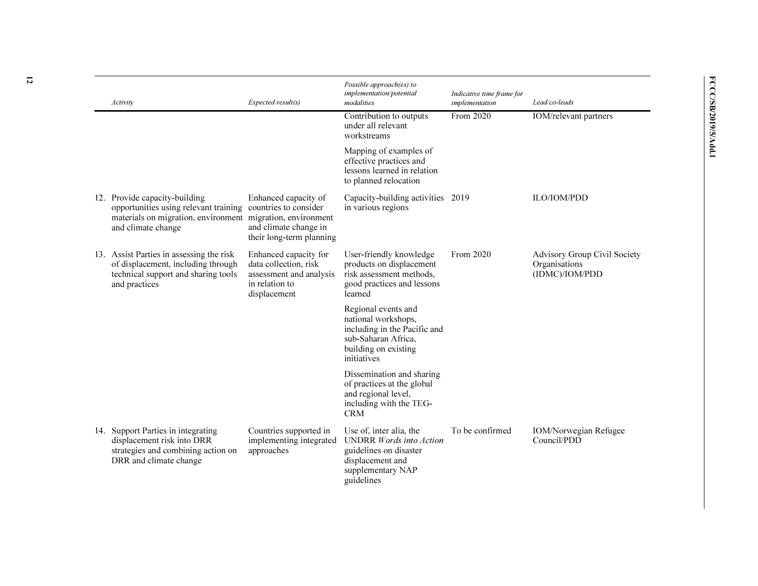| Activity                                                                                                                                                   | Expected result(s)                                                                                          | Possible approach(es) to<br>implementation/potential<br>modalities                                                                         | Indicative time frame for<br>implementation | Lead/co-leads                                                   |
|------------------------------------------------------------------------------------------------------------------------------------------------------------|-------------------------------------------------------------------------------------------------------------|--------------------------------------------------------------------------------------------------------------------------------------------|---------------------------------------------|-----------------------------------------------------------------|
|                                                                                                                                                            |                                                                                                             | Contribution to outputs<br>under all relevant<br>workstreams                                                                               | From 2020                                   | IOM/relevant partners                                           |
|                                                                                                                                                            |                                                                                                             | Mapping of examples of<br>effective practices and<br>lessons learned in relation<br>to planned relocation                                  |                                             |                                                                 |
| 12. Provide capacity-building<br>opportunities using relevant training<br>materials on migration, environment migration, environment<br>and climate change | Enhanced capacity of<br>countries to consider<br>and climate change in<br>their long-term planning          | Capacity-building activities 2019<br>in various regions                                                                                    |                                             | ILO/IOM/PDD                                                     |
| 13. Assist Parties in assessing the risk<br>of displacement, including through<br>technical support and sharing tools<br>and practices                     | Enhanced capacity for<br>data collection, risk<br>assessment and analysis<br>in relation to<br>displacement | User-friendly knowledge<br>products on displacement<br>risk assessment methods,<br>good practices and lessons<br>learned                   | From 2020                                   | Advisory Group Civil Society<br>Organisations<br>(IDMC)/IOM/PDD |
|                                                                                                                                                            |                                                                                                             | Regional events and<br>national workshops,<br>including in the Pacific and<br>sub-Saharan Africa,<br>building on existing<br>initiatives   |                                             |                                                                 |
|                                                                                                                                                            |                                                                                                             | Dissemination and sharing<br>of practices at the global<br>and regional level,<br>including with the TEG-<br><b>CRM</b>                    |                                             |                                                                 |
| 14. Support Parties in integrating<br>displacement risk into DRR<br>strategies and combining action on<br>DRR and climate change                           | Countries supported in<br>implementing integrated<br>approaches                                             | Use of, inter alia, the<br><b>UNDRR</b> Words into Action<br>guidelines on disaster<br>displacement and<br>supplementary NAP<br>guidelines | To be confirmed                             | <b>IOM/Norwegian Refugee</b><br>Council/PDD                     |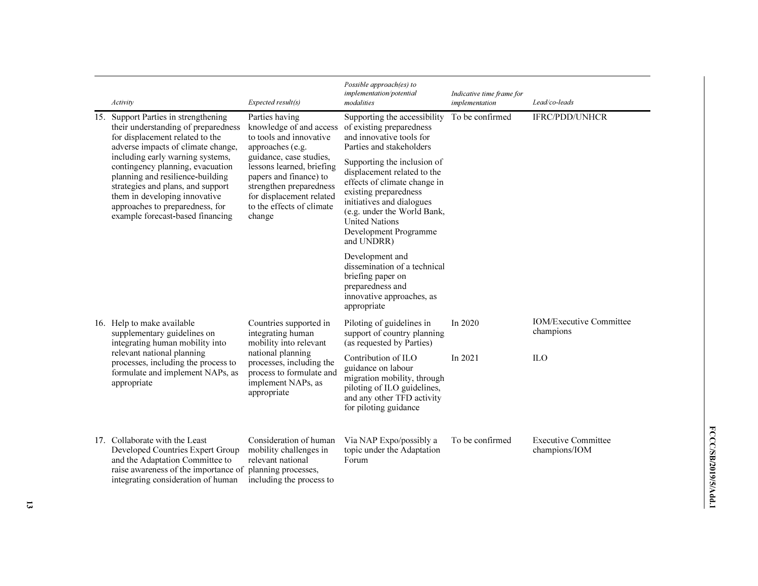| Activity                                                                                                                                                                                                                                              | Expected result(s)                                                                                                                                                           | Possible approach(es) to<br>implementation/potential<br>modalities                                                                                                                                                                              | Indicative time frame for<br>implementation | Lead/co-leads                               |
|-------------------------------------------------------------------------------------------------------------------------------------------------------------------------------------------------------------------------------------------------------|------------------------------------------------------------------------------------------------------------------------------------------------------------------------------|-------------------------------------------------------------------------------------------------------------------------------------------------------------------------------------------------------------------------------------------------|---------------------------------------------|---------------------------------------------|
| 15. Support Parties in strengthening<br>their understanding of preparedness<br>for displacement related to the<br>adverse impacts of climate change,                                                                                                  | Parties having<br>knowledge of and access<br>to tools and innovative<br>approaches (e.g.                                                                                     | Supporting the accessibility<br>of existing preparedness<br>and innovative tools for<br>Parties and stakeholders                                                                                                                                | To be confirmed                             | <b>IFRC/PDD/UNHCR</b>                       |
| including early warning systems,<br>contingency planning, evacuation<br>planning and resilience-building<br>strategies and plans, and support<br>them in developing innovative<br>approaches to preparedness, for<br>example forecast-based financing | guidance, case studies,<br>lessons learned, briefing<br>papers and finance) to<br>strengthen preparedness<br>for displacement related<br>to the effects of climate<br>change | Supporting the inclusion of<br>displacement related to the<br>effects of climate change in<br>existing preparedness<br>initiatives and dialogues<br>(e.g. under the World Bank,<br><b>United Nations</b><br>Development Programme<br>and UNDRR) |                                             |                                             |
|                                                                                                                                                                                                                                                       |                                                                                                                                                                              | Development and<br>dissemination of a technical<br>briefing paper on<br>preparedness and<br>innovative approaches, as<br>appropriate                                                                                                            |                                             |                                             |
| 16. Help to make available<br>supplementary guidelines on<br>integrating human mobility into                                                                                                                                                          | Countries supported in<br>integrating human<br>mobility into relevant                                                                                                        | Piloting of guidelines in<br>support of country planning<br>(as requested by Parties)                                                                                                                                                           | In 2020                                     | <b>IOM/Executive Committee</b><br>champions |
| relevant national planning<br>processes, including the process to<br>formulate and implement NAPs, as<br>appropriate                                                                                                                                  | national planning<br>processes, including the<br>process to formulate and<br>implement NAPs, as<br>appropriate                                                               | Contribution of ILO<br>guidance on labour<br>migration mobility, through<br>piloting of ILO guidelines,<br>and any other TFD activity<br>for piloting guidance                                                                                  | In 2021                                     | <b>ILO</b>                                  |
| 17. Collaborate with the Least<br>Developed Countries Expert Group<br>and the Adaptation Committee to<br>raise awareness of the importance of<br>integrating consideration of human                                                                   | Consideration of human<br>mobility challenges in<br>relevant national<br>planning processes,<br>including the process to                                                     | Via NAP Expo/possibly a<br>topic under the Adaptation<br>Forum                                                                                                                                                                                  | To be confirmed                             | <b>Executive Committee</b><br>champions/IOM |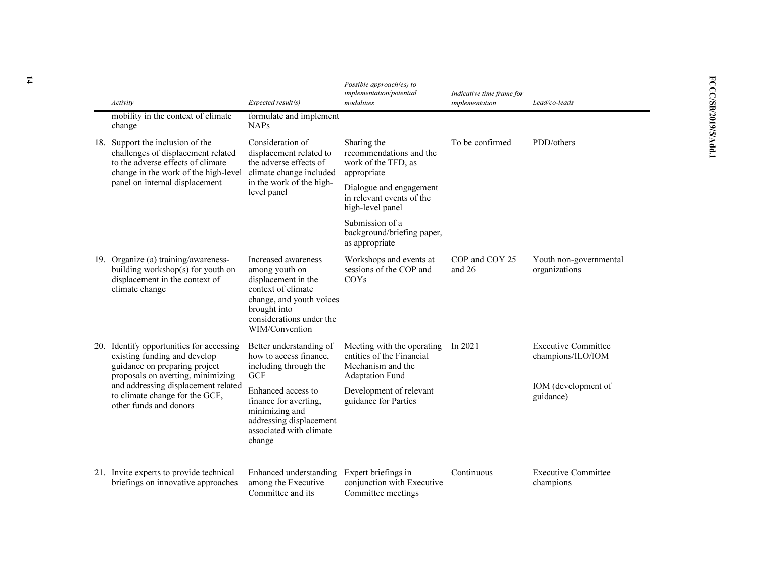| Activity                                                                                                                                                                                                                                          | Expected result(s)                                                                                                                                                           | Possible approach(es) to<br>implementation/potential<br>modalities                                     | Indicative time frame for<br>implementation | Lead/co-leads                                   |
|---------------------------------------------------------------------------------------------------------------------------------------------------------------------------------------------------------------------------------------------------|------------------------------------------------------------------------------------------------------------------------------------------------------------------------------|--------------------------------------------------------------------------------------------------------|---------------------------------------------|-------------------------------------------------|
| mobility in the context of climate<br>change                                                                                                                                                                                                      | formulate and implement<br><b>NAPs</b>                                                                                                                                       |                                                                                                        |                                             |                                                 |
| 18. Support the inclusion of the<br>challenges of displacement related<br>to the adverse effects of climate<br>change in the work of the high-level                                                                                               | Consideration of<br>displacement related to<br>the adverse effects of<br>climate change included                                                                             | Sharing the<br>recommendations and the<br>work of the TFD, as<br>appropriate                           | To be confirmed                             | PDD/others                                      |
| panel on internal displacement                                                                                                                                                                                                                    | in the work of the high-<br>level panel                                                                                                                                      | Dialogue and engagement<br>in relevant events of the<br>high-level panel                               |                                             |                                                 |
|                                                                                                                                                                                                                                                   |                                                                                                                                                                              | Submission of a<br>background/briefing paper,<br>as appropriate                                        |                                             |                                                 |
| 19. Organize (a) training/awareness-<br>building workshop(s) for youth on<br>displacement in the context of<br>climate change                                                                                                                     | Increased awareness<br>among youth on<br>displacement in the<br>context of climate<br>change, and youth voices<br>brought into<br>considerations under the<br>WIM/Convention | Workshops and events at<br>sessions of the COP and<br><b>COYs</b>                                      | COP and COY 25<br>and 26                    | Youth non-governmental<br>organizations         |
| 20. Identify opportunities for accessing<br>existing funding and develop<br>guidance on preparing project<br>proposals on averting, minimizing<br>and addressing displacement related<br>to climate change for the GCF,<br>other funds and donors | Better understanding of<br>how to access finance.<br>including through the<br><b>GCF</b>                                                                                     | Meeting with the operating<br>entities of the Financial<br>Mechanism and the<br><b>Adaptation Fund</b> | In $2021$                                   | <b>Executive Committee</b><br>champions/ILO/IOM |
|                                                                                                                                                                                                                                                   | Enhanced access to<br>finance for averting,<br>minimizing and<br>addressing displacement<br>associated with climate<br>change                                                | Development of relevant<br>guidance for Parties                                                        |                                             | IOM (development of<br>guidance)                |
| 21. Invite experts to provide technical<br>briefings on innovative approaches                                                                                                                                                                     | Enhanced understanding<br>among the Executive<br>Committee and its                                                                                                           | Expert briefings in<br>conjunction with Executive<br>Committee meetings                                | Continuous                                  | <b>Executive Committee</b><br>champions         |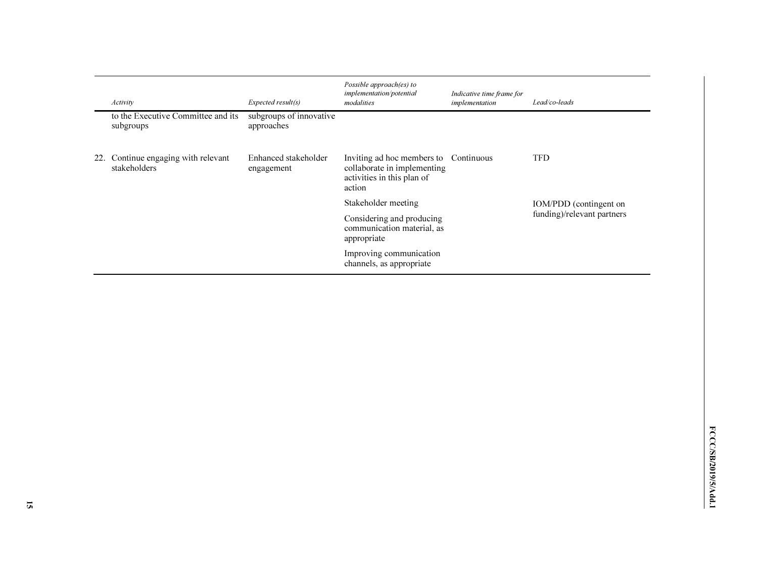| Activity                                            | Expected result(s)                    | Possible approach(es) to<br>implementation/potential<br>modalities                                           | Indicative time frame for<br>implementation | Lead/co-leads              |
|-----------------------------------------------------|---------------------------------------|--------------------------------------------------------------------------------------------------------------|---------------------------------------------|----------------------------|
| to the Executive Committee and its<br>subgroups     | subgroups of innovative<br>approaches |                                                                                                              |                                             |                            |
| 22. Continue engaging with relevant<br>stakeholders | Enhanced stakeholder<br>engagement    | Inviting ad hoc members to Continuous<br>collaborate in implementing<br>activities in this plan of<br>action |                                             | <b>TFD</b>                 |
|                                                     |                                       | Stakeholder meeting                                                                                          |                                             | IOM/PDD (contingent on     |
|                                                     |                                       | Considering and producing<br>communication material, as<br>appropriate                                       |                                             | funding)/relevant partners |
|                                                     |                                       | Improving communication<br>channels, as appropriate                                                          |                                             |                            |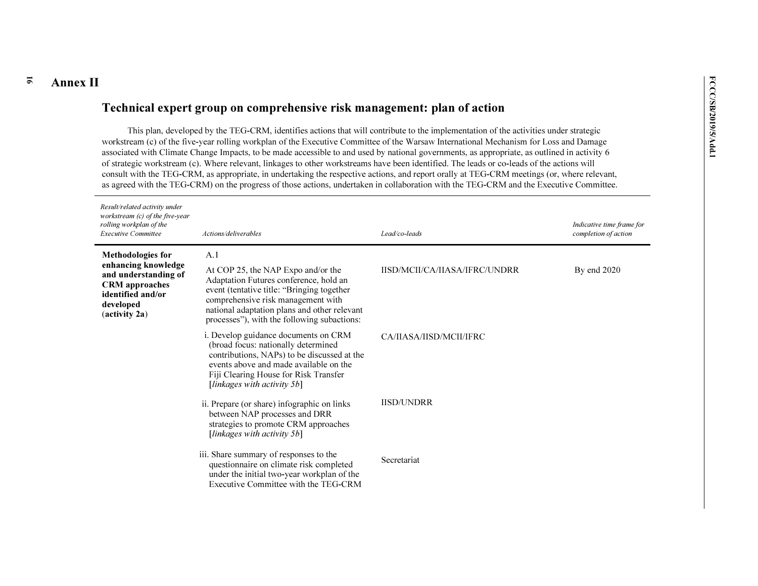### 16

**Annex II**<br> **Technical expert group on comprehensive risk management: plan of action<br>
This plan, developed by the TEG-CRM, identifies actions that will contribute to the implementation of the activities under strategic<br>
wo** of strategic workstream (c). Where relevant, linkages to other workstreams have been identified. The leads or co-leads of the actions will consult with the TEG-CRM, as appropriate, in undertaking the respective actions, and report orally at TEG-CRM meetings (or, where relevant, as agreed with the TEG-CRM) on the progress of those actions, undertaken in collaboration with the TEG-CRM and the Executive Committee.

| Result/related activity under<br>workstream $(c)$ of the five-year<br>rolling workplan of the<br><b>Executive Committee</b> | Actions/deliverables                                                                                                                                                                                                                                             | Lead/co-leads                 | Indicative time frame for<br>completion of action |
|-----------------------------------------------------------------------------------------------------------------------------|------------------------------------------------------------------------------------------------------------------------------------------------------------------------------------------------------------------------------------------------------------------|-------------------------------|---------------------------------------------------|
| <b>Methodologies for</b><br>enhancing knowledge                                                                             | A.1                                                                                                                                                                                                                                                              |                               |                                                   |
| and understanding of<br><b>CRM</b> approaches<br>identified and/or<br>developed<br>(activity 2a)                            | At COP 25, the NAP Expo and/or the<br>Adaptation Futures conference, hold an<br>event (tentative title: "Bringing together"<br>comprehensive risk management with<br>national adaptation plans and other relevant<br>processes"), with the following subactions: | IISD/MCII/CA/IIASA/IFRC/UNDRR | By end $2020$                                     |
|                                                                                                                             | i. Develop guidance documents on CRM<br>(broad focus: nationally determined<br>contributions, NAPs) to be discussed at the<br>events above and made available on the<br>Fiji Clearing House for Risk Transfer<br>[linkages with activity $5b$ ]                  | CA/IIASA/IISD/MCII/IFRC       |                                                   |
|                                                                                                                             | ii. Prepare (or share) infographic on links<br>between NAP processes and DRR<br>strategies to promote CRM approaches<br>[linkages with activity $5b$ ]                                                                                                           | <b>IISD/UNDRR</b>             |                                                   |
|                                                                                                                             | iii. Share summary of responses to the<br>questionnaire on climate risk completed<br>under the initial two-year workplan of the<br>Executive Committee with the TEG-CRM                                                                                          | Secretariat                   |                                                   |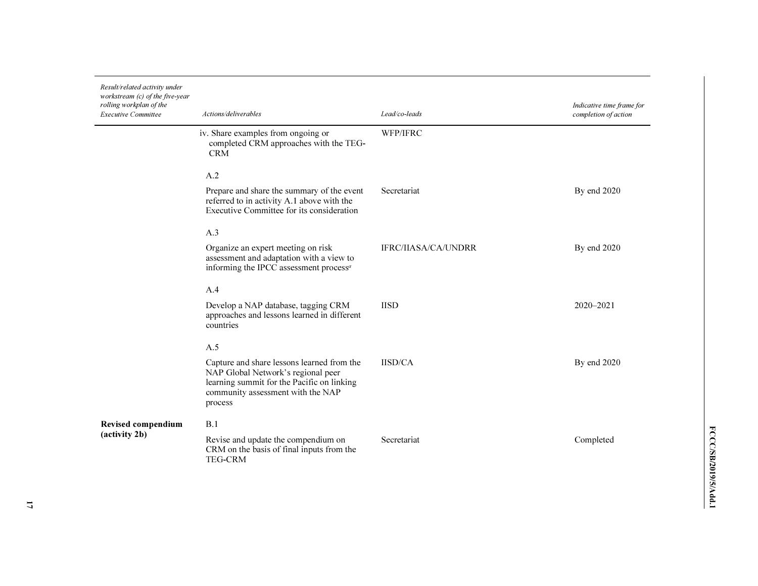| Result/related activity under<br>workstream (c) of the five-year<br>rolling workplan of the<br><b>Executive Committee</b> | Actions/deliverables                                                                                                                                                           | Lead/co-leads              | Indicative time frame for<br>completion of action |
|---------------------------------------------------------------------------------------------------------------------------|--------------------------------------------------------------------------------------------------------------------------------------------------------------------------------|----------------------------|---------------------------------------------------|
|                                                                                                                           | iv. Share examples from ongoing or<br>completed CRM approaches with the TEG-<br><b>CRM</b>                                                                                     | WFP/IFRC                   |                                                   |
|                                                                                                                           | A.2                                                                                                                                                                            |                            |                                                   |
|                                                                                                                           | Prepare and share the summary of the event<br>referred to in activity A.1 above with the<br>Executive Committee for its consideration                                          | Secretariat                | By end 2020                                       |
|                                                                                                                           | A.3                                                                                                                                                                            |                            |                                                   |
|                                                                                                                           | Organize an expert meeting on risk<br>assessment and adaptation with a view to<br>informing the IPCC assessment process <sup>a</sup>                                           | <b>IFRC/IIASA/CA/UNDRR</b> | By end 2020                                       |
|                                                                                                                           | A.4                                                                                                                                                                            |                            |                                                   |
|                                                                                                                           | Develop a NAP database, tagging CRM<br>approaches and lessons learned in different<br>countries                                                                                | <b>IISD</b>                | $2020 - 2021$                                     |
|                                                                                                                           | A.5                                                                                                                                                                            |                            |                                                   |
|                                                                                                                           | Capture and share lessons learned from the<br>NAP Global Network's regional peer<br>learning summit for the Pacific on linking<br>community assessment with the NAP<br>process | <b>IISD/CA</b>             | By end 2020                                       |
| Revised compendium                                                                                                        | B.1                                                                                                                                                                            |                            |                                                   |
| (activity 2b)                                                                                                             | Revise and update the compendium on<br>CRM on the basis of final inputs from the<br><b>TEG-CRM</b>                                                                             | Secretariat                | Completed                                         |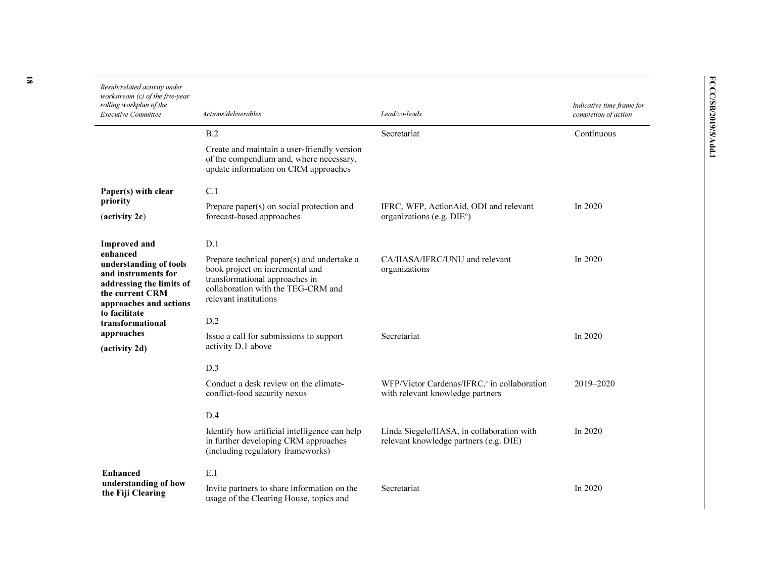| Result/related activity under<br>workstream (c) of the five-year<br>rolling workplan of the<br><b>Executive Committee</b>          | Actions/deliverables                                                                                                                                                           | Lead/co-leads                                                                               | Indicative time frame for<br>completion of action |
|------------------------------------------------------------------------------------------------------------------------------------|--------------------------------------------------------------------------------------------------------------------------------------------------------------------------------|---------------------------------------------------------------------------------------------|---------------------------------------------------|
|                                                                                                                                    | B.2                                                                                                                                                                            | Secretariat                                                                                 | Continuous                                        |
|                                                                                                                                    | Create and maintain a user-friendly version<br>of the compendium and, where necessary,<br>update information on CRM approaches                                                 |                                                                                             |                                                   |
| Paper(s) with clear                                                                                                                | C.1                                                                                                                                                                            |                                                                                             |                                                   |
| priority<br>$(\text{activity } 2c)$                                                                                                | Prepare paper(s) on social protection and<br>forecast-based approaches                                                                                                         | IFRC, WFP, ActionAid, ODI and relevant<br>organizations (e.g. $DIE^b$ )                     | In $2020$                                         |
| <b>Improved</b> and                                                                                                                | D.1                                                                                                                                                                            |                                                                                             |                                                   |
| enhanced<br>understanding of tools<br>and instruments for<br>addressing the limits of<br>the current CRM<br>approaches and actions | Prepare technical paper(s) and undertake a<br>book project on incremental and<br>transformational approaches in<br>collaboration with the TEG-CRM and<br>relevant institutions | CA/IIASA/IFRC/UNU and relevant<br>organizations                                             | In 2020                                           |
| to facilitate<br>transformational                                                                                                  | D.2                                                                                                                                                                            |                                                                                             |                                                   |
| approaches<br>(activity 2d)                                                                                                        | Issue a call for submissions to support<br>activity D.1 above                                                                                                                  | Secretariat                                                                                 | In $2020$                                         |
|                                                                                                                                    | D.3                                                                                                                                                                            |                                                                                             |                                                   |
|                                                                                                                                    | Conduct a desk review on the climate-<br>conflict-food security nexus                                                                                                          | WFP/Victor Cardenas/IFRC, <sup>c</sup> in collaboration<br>with relevant knowledge partners | $2019 - 2020$                                     |
|                                                                                                                                    | D.4                                                                                                                                                                            |                                                                                             |                                                   |
|                                                                                                                                    | Identify how artificial intelligence can help<br>in further developing CRM approaches<br>(including regulatory frameworks)                                                     | Linda Siegele/IIASA, in collaboration with<br>relevant knowledge partners (e.g. DIE)        | In $2020$                                         |
| <b>Enhanced</b>                                                                                                                    | E.1                                                                                                                                                                            |                                                                                             |                                                   |
| understanding of how<br>the Fiji Clearing                                                                                          | Invite partners to share information on the<br>usage of the Clearing House, topics and                                                                                         | Secretariat                                                                                 | In 2020                                           |

18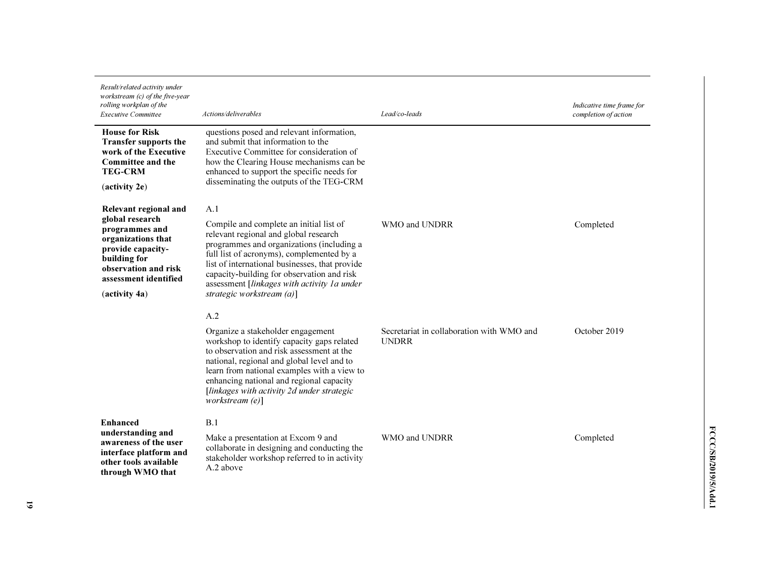| Result/related activity under<br>workstream $(c)$ of the five-year<br>rolling workplan of the<br><b>Executive Committee</b>                                                             | Actions/deliverables                                                                                                                                                                                                                                                                                                                                          | Lead/co-leads                                             | Indicative time frame for<br>completion of action |
|-----------------------------------------------------------------------------------------------------------------------------------------------------------------------------------------|---------------------------------------------------------------------------------------------------------------------------------------------------------------------------------------------------------------------------------------------------------------------------------------------------------------------------------------------------------------|-----------------------------------------------------------|---------------------------------------------------|
| <b>House for Risk</b><br><b>Transfer supports the</b><br>work of the Executive<br>Committee and the<br><b>TEG-CRM</b><br>(activity 2e)                                                  | questions posed and relevant information,<br>and submit that information to the<br>Executive Committee for consideration of<br>how the Clearing House mechanisms can be<br>enhanced to support the specific needs for<br>disseminating the outputs of the TEG-CRM                                                                                             |                                                           |                                                   |
| Relevant regional and<br>global research<br>programmes and<br>organizations that<br>provide capacity-<br>building for<br>observation and risk<br>assessment identified<br>(activity 4a) | A.1<br>Compile and complete an initial list of<br>relevant regional and global research<br>programmes and organizations (including a<br>full list of acronyms), complemented by a<br>list of international businesses, that provide<br>capacity-building for observation and risk<br>assessment [linkages with activity 1a under<br>strategic workstream (a)] | WMO and UNDRR                                             | Completed                                         |
|                                                                                                                                                                                         | A.2<br>Organize a stakeholder engagement<br>workshop to identify capacity gaps related<br>to observation and risk assessment at the<br>national, regional and global level and to<br>learn from national examples with a view to<br>enhancing national and regional capacity<br>[linkages with activity 2d under strategic<br>workstream (e)]                 | Secretariat in collaboration with WMO and<br><b>UNDRR</b> | October 2019                                      |
| <b>Enhanced</b><br>understanding and<br>awareness of the user<br>interface platform and<br>other tools available<br>through WMO that                                                    | B.1<br>Make a presentation at Excom 9 and<br>collaborate in designing and conducting the<br>stakeholder workshop referred to in activity<br>A.2 above                                                                                                                                                                                                         | WMO and UNDRR                                             | Completed                                         |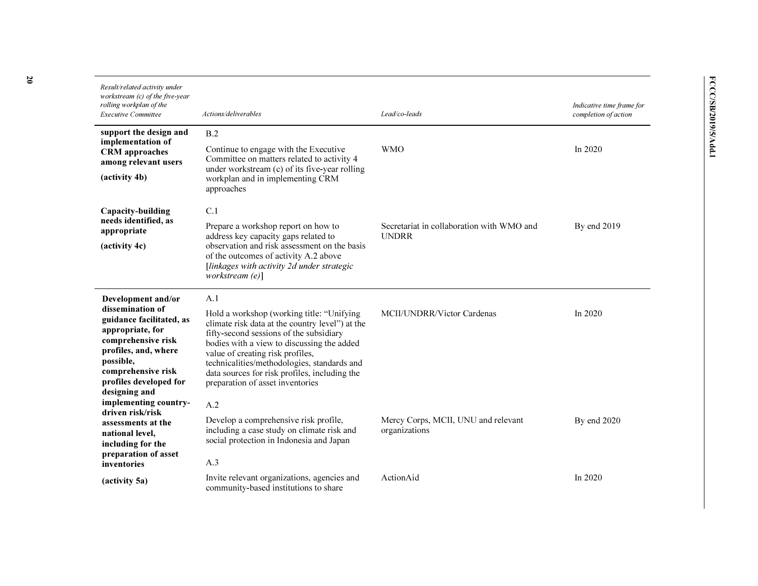| Result/related activity under<br>workstream (c) of the five-year<br>rolling workplan of the<br><b>Executive Committee</b>                                                                    | Actions/deliverables                                                                                                                                                                                                                                                                                                                                          | Lead/co-leads                                             | Indicative time frame for<br>completion of action |
|----------------------------------------------------------------------------------------------------------------------------------------------------------------------------------------------|---------------------------------------------------------------------------------------------------------------------------------------------------------------------------------------------------------------------------------------------------------------------------------------------------------------------------------------------------------------|-----------------------------------------------------------|---------------------------------------------------|
| support the design and<br>implementation of                                                                                                                                                  | B.2<br>Continue to engage with the Executive                                                                                                                                                                                                                                                                                                                  | <b>WMO</b>                                                | In $2020$                                         |
| <b>CRM</b> approaches<br>among relevant users<br>(activity 4b)                                                                                                                               | Committee on matters related to activity 4<br>under workstream (c) of its five-year rolling<br>workplan and in implementing CRM<br>approaches                                                                                                                                                                                                                 |                                                           |                                                   |
| Capacity-building                                                                                                                                                                            | C.1                                                                                                                                                                                                                                                                                                                                                           |                                                           |                                                   |
| needs identified, as<br>appropriate<br>(activity 4c)                                                                                                                                         | Prepare a workshop report on how to<br>address key capacity gaps related to<br>observation and risk assessment on the basis<br>of the outcomes of activity A.2 above<br>[linkages with activity 2d under strategic<br>workstream $(e)$ ]                                                                                                                      | Secretariat in collaboration with WMO and<br><b>UNDRR</b> | By end 2019                                       |
| Development and/or                                                                                                                                                                           | A.1                                                                                                                                                                                                                                                                                                                                                           |                                                           |                                                   |
| dissemination of<br>guidance facilitated, as<br>appropriate, for<br>comprehensive risk<br>profiles, and, where<br>possible,<br>comprehensive risk<br>profiles developed for<br>designing and | Hold a workshop (working title: "Unifying<br>climate risk data at the country level") at the<br>fifty-second sessions of the subsidiary<br>bodies with a view to discussing the added<br>value of creating risk profiles,<br>technicalities/methodologies, standards and<br>data sources for risk profiles, including the<br>preparation of asset inventories | MCII/UNDRR/Victor Cardenas                                | In 2020                                           |
| implementing country-<br>driven risk/risk                                                                                                                                                    | A.2                                                                                                                                                                                                                                                                                                                                                           |                                                           |                                                   |
| assessments at the<br>national level,<br>including for the<br>preparation of asset                                                                                                           | Develop a comprehensive risk profile,<br>including a case study on climate risk and<br>social protection in Indonesia and Japan                                                                                                                                                                                                                               | Mercy Corps, MCII, UNU and relevant<br>organizations      | By end 2020                                       |
| inventories                                                                                                                                                                                  | A.3                                                                                                                                                                                                                                                                                                                                                           |                                                           |                                                   |
| (activity 5a)                                                                                                                                                                                | Invite relevant organizations, agencies and<br>community-based institutions to share                                                                                                                                                                                                                                                                          | ActionAid                                                 | In $2020$                                         |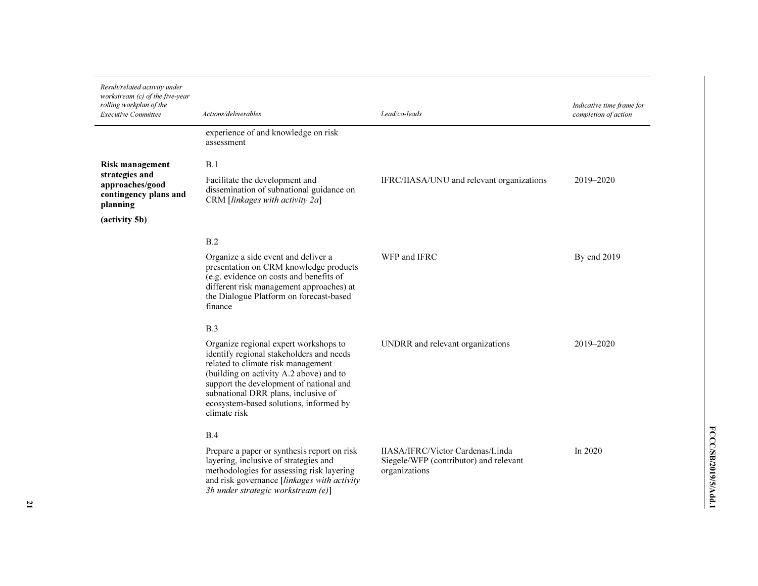| Result/related activity under<br>workstream (c) of the five-year<br>rolling workplan of the<br><b>Executive Committee</b> | Actions/deliverables                                                                                                                                                                                                                                                                                                  | Lead/co-leads                                                                               | Indicative time frame for<br>completion of action |
|---------------------------------------------------------------------------------------------------------------------------|-----------------------------------------------------------------------------------------------------------------------------------------------------------------------------------------------------------------------------------------------------------------------------------------------------------------------|---------------------------------------------------------------------------------------------|---------------------------------------------------|
|                                                                                                                           | experience of and knowledge on risk<br>assessment                                                                                                                                                                                                                                                                     |                                                                                             |                                                   |
| <b>Risk management</b><br>strategies and<br>approaches/good<br>contingency plans and<br>planning<br>(activity 5b)         | B.1<br>Facilitate the development and<br>dissemination of subnational guidance on<br>CRM [linkages with activity 2a]                                                                                                                                                                                                  | IFRC/IIASA/UNU and relevant organizations                                                   | 2019–2020                                         |
|                                                                                                                           | B.2<br>Organize a side event and deliver a<br>presentation on CRM knowledge products<br>(e.g. evidence on costs and benefits of<br>different risk management approaches) at<br>the Dialogue Platform on forecast-based<br>finance                                                                                     | WFP and IFRC                                                                                | By end 2019                                       |
|                                                                                                                           | B.3<br>Organize regional expert workshops to<br>identify regional stakeholders and needs<br>related to climate risk management<br>(building on activity A.2 above) and to<br>support the development of national and<br>subnational DRR plans, inclusive of<br>ecosystem-based solutions, informed by<br>climate risk | UNDRR and relevant organizations                                                            | 2019-2020                                         |
|                                                                                                                           | B.4<br>Prepare a paper or synthesis report on risk<br>layering, inclusive of strategies and<br>methodologies for assessing risk layering<br>and risk governance [linkages with activity<br>3b under strategic workstream (e)]                                                                                         | IIASA/IFRC/Victor Cardenas/Linda<br>Siegele/WFP (contributor) and relevant<br>organizations | In 2020                                           |